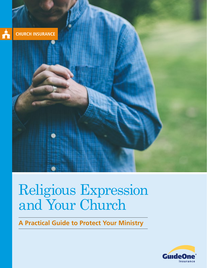

# Religious Expression and Your Church

**A Practical Guide to Protect Your Ministry**

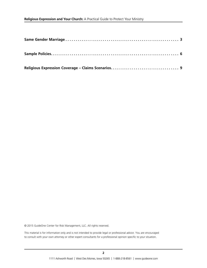© 2015 GuideOne Center for Risk Management, LLC. All rights reserved.

This material is for information only and is not intended to provide legal or professional advice. You are encouraged to consult with your own attorney or other expert consultants for a professional opinion specific to your situation.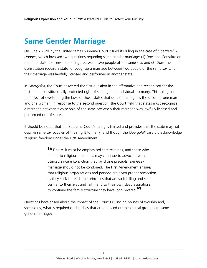# **Same Gender Marriage**

On June 26, 2015, the United States Supreme Court issued its ruling in the case of *Obergefell v. Hodges*, which involved two questions regarding same gender marriage: (1) Does the Constitution require a state to license a marriage between two people of the same sex; and (2) Does the Constitution require a state to recognize a marriage between two people of the same sex when their marriage was lawfully licensed and performed in another state.

In *Obergefell*, the Court answered the first question in the affirmative and recognized for the first time a constitutionally protected right of same gender individuals to marry. This ruling has the effect of overturning the laws of those states that define marriage as the union of one man and one woman. In response to the second question, the Court held that states must recognize a marriage between two people of the same sex when their marriage was lawfully licensed and performed out of state.

It should be noted that the Supreme Court's ruling is limited and provides that the state may not deprive same-sex couples of their right to marry, and though the *Obergefell* case did acknowledge religious freedom under the First Amendment:

> **"**Finally, it must be emphasized that religions, and those who adhere to religious doctrines, may continue to advocate with utmost, sincere conviction that, by divine precepts, same-sex marriage should not be condoned. The First Amendment ensures that religious organizations and persons are given proper protection as they seek to teach the principles that are so fulfilling and so central to their lives and faith, and to their own deep aspirations to continue the family structure they have long revered.**"**

Questions have arisen about the impact of the Court's ruling on houses of worship and, specifically, what is required of churches that are opposed on theological grounds to same gender marriage?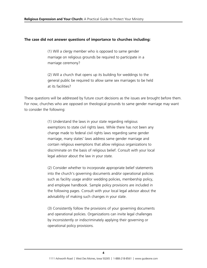#### **The case did not answer questions of importance to churches including:**

(1) Will a clergy member who is opposed to same gender marriage on religious grounds be required to participate in a marriage ceremony?

(2) Will a church that opens up its building for weddings to the general public be required to allow same sex marriages to be held at its facilities?

These questions will be addressed by future court decisions as the issues are brought before them. For now, churches who are opposed on theological grounds to same gender marriage may want to consider the following:

> (1) Understand the laws in your state regarding religious exemptions to state civil rights laws. While there has not been any change made to federal civil rights laws regarding same gender marriage, many states' laws address same gender marriage and contain religious exemptions that allow religious organizations to discriminate on the basis of religious belief. Consult with your local legal advisor about the law in your state.

> (2) Consider whether to incorporate appropriate belief statements into the church's governing documents and/or operational policies such as facility usage and/or wedding policies, membership policy, and employee handbook. Sample policy provisions are included in the following pages. Consult with your local legal advisor about the advisability of making such changes in your state.

> (3) Consistently follow the provisions of your governing documents and operational policies. Organizations can invite legal challenges by inconsistently or indiscriminately applying their governing or operational policy provisions.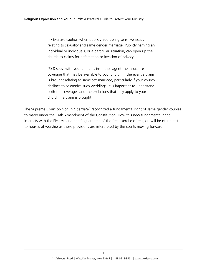(4) Exercise caution when publicly addressing sensitive issues relating to sexuality and same gender marriage. Publicly naming an individual or individuals, or a particular situation, can open up the church to claims for defamation or invasion of privacy.

(5) Discuss with your church's insurance agent the insurance coverage that may be available to your church in the event a claim is brought relating to same sex marriage, particularly if your church declines to solemnize such weddings. It is important to understand both the coverages and the exclusions that may apply to your church if a claim is brought.

The Supreme Court opinion in *Obergefell* recognized a fundamental right of same gender couples to marry under the 14th Amendment of the Constitution. How this new fundamental right interacts with the First Amendment's guarantee of the free exercise of religion will be of interest to houses of worship as those provisions are interpreted by the courts moving forward.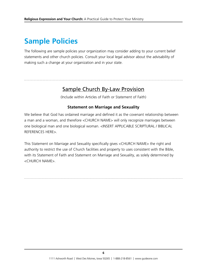# **Sample Policies**

The following are sample policies your organization may consider adding to your current belief statements and other church policies. Consult your local legal advisor about the advisability of making such a change at your organization and in your state.

#### Sample Church By-Law Provision

(Include within Articles of Faith or Statement of Faith)

#### **Statement on Marriage and Sexuality**

We believe that God has ordained marriage and defined it as the covenant relationship between a man and a woman, and therefore <CHURCH NAME> will only recognize marriages between one biological man and one biological woman. <INSERT APPLICABLE SCRIPTURAL / BIBLICAL REFERENCES HERE>.

This Statement on Marriage and Sexuality specifically gives <CHURCH NAME> the right and authority to restrict the use of Church facilities and property to uses consistent with the Bible, with its Statement of Faith and Statement on Marriage and Sexuality, as solely determined by <CHURCH NAME>.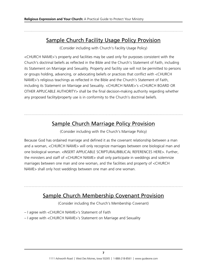## Sample Church Facility Usage Policy Provision

(Consider including with Church's Facility Usage Policy)

<CHURCH NAME>'s property and facilities may be used only for purposes consistent with the Church's doctrinal beliefs as reflected in the Bible and the Church's Statement of Faith, including its Statement on Marriage and Sexuality. Property and facility use will not be permitted to persons or groups holding, advancing, or advocating beliefs or practices that conflict with <CHURCH NAME>'s religious teachings as reflected in the Bible and the Church's Statement of Faith, including its Statement on Marriage and Sexuality. <CHURCH NAME>'s <CHURCH BOARD OR OTHER APPLICABLE AUTHORITY> shall be the final decision-making authority regarding whether any proposed facility/property use is in conformity to the Church's doctrinal beliefs.

### Sample Church Marriage Policy Provision

(Consider including with the Church's Marriage Policy)

Because God has ordained marriage and defined it as the covenant relationship between a man and a woman, <CHURCH NAME> will only recognize marriages between one biological man and one biological woman. <INSERT APPLICABLE SCRIPTURAL/BIBLICAL REFERENCES HERE>. Further, the ministers and staff of <CHURCH NAME> shall only participate in weddings and solemnize marriages between one man and one woman, and the facilities and property of <CHURCH NAME> shall only host weddings between one man and one woman.

#### Sample Church Membership Covenant Provision

(Consider including the Church's Membership Covenant)

– I agree with <CHURCH NAME>'s Statement of Faith

– I agree with <CHURCH NAME>'s Statement on Marriage and Sexuality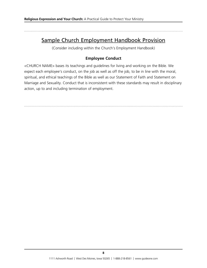### Sample Church Employment Handbook Provision

(Consider including within the Church's Employment Handbook)

#### **Employee Conduct**

<CHURCH NAME> bases its teachings and guidelines for living and working on the Bible. We expect each employee's conduct, on the job as well as off the job, to be in line with the moral, spiritual, and ethical teachings of the Bible as well as our Statement of Faith and Statement on Marriage and Sexuality. Conduct that is inconsistent with these standards may result in disciplinary action, up to and including termination of employment.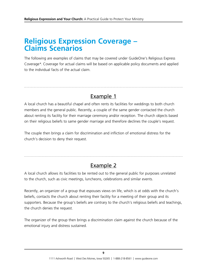## **Religious Expression Coverage – Claims Scenarios**

The following are examples of claims that may be covered under GuideOne's Religious Express Coverage\*. Coverage for actual claims will be based on applicable policy documents and applied to the individual facts of the actual claim.

Example 1

A local church has a beautiful chapel and often rents its facilities for weddings to both church members and the general public. Recently, a couple of the same gender contacted the church about renting its facility for their marriage ceremony and/or reception. The church objects based on their religious beliefs to same gender marriage and therefore declines the couple's request.

The couple then brings a claim for discrimination and infliction of emotional distress for the church's decision to deny their request.

### Example 2

A local church allows its facilities to be rented out to the general public for purposes unrelated to the church, such as civic meetings, luncheons, celebrations and similar events.

Recently, an organizer of a group that espouses views on life, which is at odds with the church's beliefs, contacts the church about renting their facility for a meeting of their group and its supporters. Because the group's beliefs are contrary to the church's religious beliefs and teachings, the church denies the request.

The organizer of the group then brings a discrimination claim against the church because of the emotional injury and distress sustained.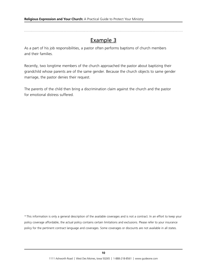Example 3

As a part of his job responsibilities, a pastor often performs baptisms of church members and their families.

Recently, two longtime members of the church approached the pastor about baptizing their grandchild whose parents are of the same gender. Because the church objects to same gender marriage, the pastor denies their request.

The parents of the child then bring a discrimination claim against the church and the pastor for emotional distress suffered.

\* This information is only a general description of the available coverages and is not a contract. In an effort to keep your policy coverage affordable, the actual policy contains certain limitations and exclusions. Please refer to your insurance policy for the pertinent contract language and coverages. Some coverages or discounts are not available in all states.